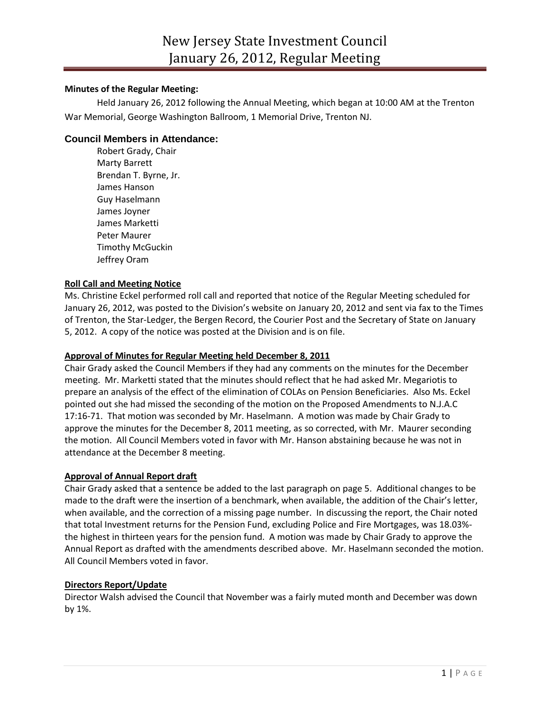## **Minutes of the Regular Meeting:**

Held January 26, 2012 following the Annual Meeting, which began at 10:00 AM at the Trenton War Memorial, George Washington Ballroom, 1 Memorial Drive, Trenton NJ.

# **Council Members in Attendance:**

Robert Grady, Chair Marty Barrett Brendan T. Byrne, Jr. James Hanson Guy Haselmann James Joyner James Marketti Peter Maurer Timothy McGuckin Jeffrey Oram

## **Roll Call and Meeting Notice**

Ms. Christine Eckel performed roll call and reported that notice of the Regular Meeting scheduled for January 26, 2012, was posted to the Division's website on January 20, 2012 and sent via fax to the Times of Trenton, the Star-Ledger, the Bergen Record, the Courier Post and the Secretary of State on January 5, 2012. A copy of the notice was posted at the Division and is on file.

## **Approval of Minutes for Regular Meeting held December 8, 2011**

Chair Grady asked the Council Members if they had any comments on the minutes for the December meeting. Mr. Marketti stated that the minutes should reflect that he had asked Mr. Megariotis to prepare an analysis of the effect of the elimination of COLAs on Pension Beneficiaries. Also Ms. Eckel pointed out she had missed the seconding of the motion on the Proposed Amendments to N.J.A.C 17:16-71. That motion was seconded by Mr. Haselmann. A motion was made by Chair Grady to approve the minutes for the December 8, 2011 meeting, as so corrected, with Mr. Maurer seconding the motion. All Council Members voted in favor with Mr. Hanson abstaining because he was not in attendance at the December 8 meeting.

### **Approval of Annual Report draft**

Chair Grady asked that a sentence be added to the last paragraph on page 5. Additional changes to be made to the draft were the insertion of a benchmark, when available, the addition of the Chair's letter, when available, and the correction of a missing page number. In discussing the report, the Chair noted that total Investment returns for the Pension Fund, excluding Police and Fire Mortgages, was 18.03% the highest in thirteen years for the pension fund. A motion was made by Chair Grady to approve the Annual Report as drafted with the amendments described above. Mr. Haselmann seconded the motion. All Council Members voted in favor.

### **Directors Report/Update**

Director Walsh advised the Council that November was a fairly muted month and December was down by 1%.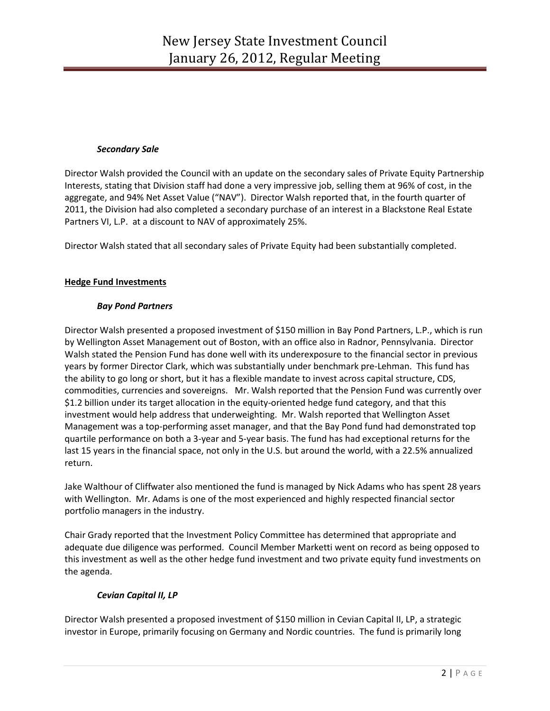### *Secondary Sale*

Director Walsh provided the Council with an update on the secondary sales of Private Equity Partnership Interests, stating that Division staff had done a very impressive job, selling them at 96% of cost, in the aggregate, and 94% Net Asset Value ("NAV"). Director Walsh reported that, in the fourth quarter of 2011, the Division had also completed a secondary purchase of an interest in a Blackstone Real Estate Partners VI, L.P. at a discount to NAV of approximately 25%.

Director Walsh stated that all secondary sales of Private Equity had been substantially completed.

## **Hedge Fund Investments**

## *Bay Pond Partners*

Director Walsh presented a proposed investment of \$150 million in Bay Pond Partners, L.P., which is run by Wellington Asset Management out of Boston, with an office also in Radnor, Pennsylvania. Director Walsh stated the Pension Fund has done well with its underexposure to the financial sector in previous years by former Director Clark, which was substantially under benchmark pre-Lehman. This fund has the ability to go long or short, but it has a flexible mandate to invest across capital structure, CDS, commodities, currencies and sovereigns. Mr. Walsh reported that the Pension Fund was currently over \$1.2 billion under its target allocation in the equity-oriented hedge fund category, and that this investment would help address that underweighting. Mr. Walsh reported that Wellington Asset Management was a top-performing asset manager, and that the Bay Pond fund had demonstrated top quartile performance on both a 3-year and 5-year basis. The fund has had exceptional returns for the last 15 years in the financial space, not only in the U.S. but around the world, with a 22.5% annualized return.

Jake Walthour of Cliffwater also mentioned the fund is managed by Nick Adams who has spent 28 years with Wellington. Mr. Adams is one of the most experienced and highly respected financial sector portfolio managers in the industry.

Chair Grady reported that the Investment Policy Committee has determined that appropriate and adequate due diligence was performed. Council Member Marketti went on record as being opposed to this investment as well as the other hedge fund investment and two private equity fund investments on the agenda.

# *Cevian Capital II, LP*

Director Walsh presented a proposed investment of \$150 million in Cevian Capital II, LP, a strategic investor in Europe, primarily focusing on Germany and Nordic countries. The fund is primarily long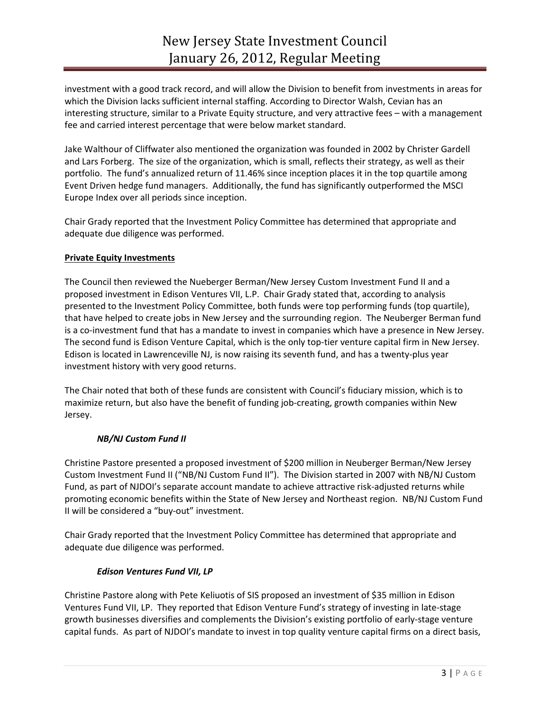investment with a good track record, and will allow the Division to benefit from investments in areas for which the Division lacks sufficient internal staffing. According to Director Walsh, Cevian has an interesting structure, similar to a Private Equity structure, and very attractive fees – with a management fee and carried interest percentage that were below market standard.

Jake Walthour of Cliffwater also mentioned the organization was founded in 2002 by Christer Gardell and Lars Forberg. The size of the organization, which is small, reflects their strategy, as well as their portfolio. The fund's annualized return of 11.46% since inception places it in the top quartile among Event Driven hedge fund managers. Additionally, the fund has significantly outperformed the MSCI Europe Index over all periods since inception.

Chair Grady reported that the Investment Policy Committee has determined that appropriate and adequate due diligence was performed.

### **Private Equity Investments**

The Council then reviewed the Nueberger Berman/New Jersey Custom Investment Fund II and a proposed investment in Edison Ventures VII, L.P. Chair Grady stated that, according to analysis presented to the Investment Policy Committee, both funds were top performing funds (top quartile), that have helped to create jobs in New Jersey and the surrounding region. The Neuberger Berman fund is a co-investment fund that has a mandate to invest in companies which have a presence in New Jersey. The second fund is Edison Venture Capital, which is the only top-tier venture capital firm in New Jersey. Edison is located in Lawrenceville NJ, is now raising its seventh fund, and has a twenty-plus year investment history with very good returns.

The Chair noted that both of these funds are consistent with Council's fiduciary mission, which is to maximize return, but also have the benefit of funding job-creating, growth companies within New Jersey.

### *NB/NJ Custom Fund II*

Christine Pastore presented a proposed investment of \$200 million in Neuberger Berman/New Jersey Custom Investment Fund II ("NB/NJ Custom Fund II"). The Division started in 2007 with NB/NJ Custom Fund, as part of NJDOI's separate account mandate to achieve attractive risk-adjusted returns while promoting economic benefits within the State of New Jersey and Northeast region. NB/NJ Custom Fund II will be considered a "buy-out" investment.

Chair Grady reported that the Investment Policy Committee has determined that appropriate and adequate due diligence was performed.

### *Edison Ventures Fund VII, LP*

Christine Pastore along with Pete Keliuotis of SIS proposed an investment of \$35 million in Edison Ventures Fund VII, LP. They reported that Edison Venture Fund's strategy of investing in late-stage growth businesses diversifies and complements the Division's existing portfolio of early-stage venture capital funds. As part of NJDOI's mandate to invest in top quality venture capital firms on a direct basis,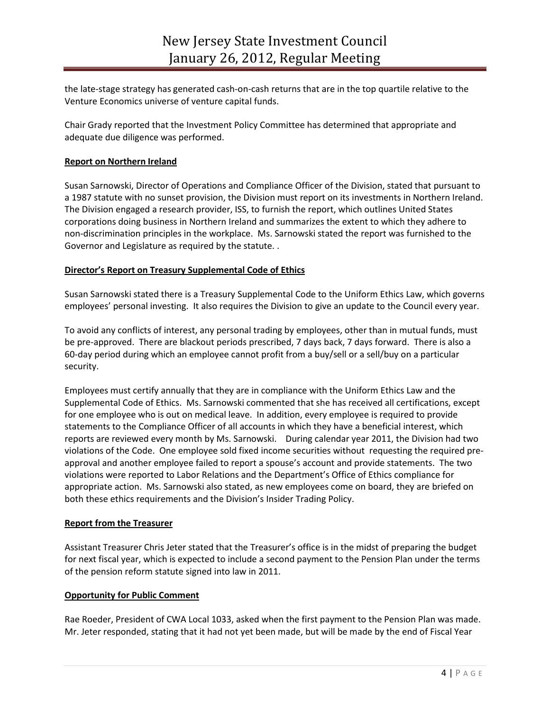the late-stage strategy has generated cash-on-cash returns that are in the top quartile relative to the Venture Economics universe of venture capital funds.

Chair Grady reported that the Investment Policy Committee has determined that appropriate and adequate due diligence was performed.

## **Report on Northern Ireland**

Susan Sarnowski, Director of Operations and Compliance Officer of the Division, stated that pursuant to a 1987 statute with no sunset provision, the Division must report on its investments in Northern Ireland. The Division engaged a research provider, ISS, to furnish the report, which outlines United States corporations doing business in Northern Ireland and summarizes the extent to which they adhere to non-discrimination principles in the workplace. Ms. Sarnowski stated the report was furnished to the Governor and Legislature as required by the statute. .

### **Director's Report on Treasury Supplemental Code of Ethics**

Susan Sarnowski stated there is a Treasury Supplemental Code to the Uniform Ethics Law, which governs employees' personal investing. It also requires the Division to give an update to the Council every year.

To avoid any conflicts of interest, any personal trading by employees, other than in mutual funds, must be pre-approved. There are blackout periods prescribed, 7 days back, 7 days forward. There is also a 60-day period during which an employee cannot profit from a buy/sell or a sell/buy on a particular security.

Employees must certify annually that they are in compliance with the Uniform Ethics Law and the Supplemental Code of Ethics. Ms. Sarnowski commented that she has received all certifications, except for one employee who is out on medical leave. In addition, every employee is required to provide statements to the Compliance Officer of all accounts in which they have a beneficial interest, which reports are reviewed every month by Ms. Sarnowski. During calendar year 2011, the Division had two violations of the Code. One employee sold fixed income securities without requesting the required preapproval and another employee failed to report a spouse's account and provide statements. The two violations were reported to Labor Relations and the Department's Office of Ethics compliance for appropriate action. Ms. Sarnowski also stated, as new employees come on board, they are briefed on both these ethics requirements and the Division's Insider Trading Policy.

### **Report from the Treasurer**

Assistant Treasurer Chris Jeter stated that the Treasurer's office is in the midst of preparing the budget for next fiscal year, which is expected to include a second payment to the Pension Plan under the terms of the pension reform statute signed into law in 2011.

#### **Opportunity for Public Comment**

Rae Roeder, President of CWA Local 1033, asked when the first payment to the Pension Plan was made. Mr. Jeter responded, stating that it had not yet been made, but will be made by the end of Fiscal Year